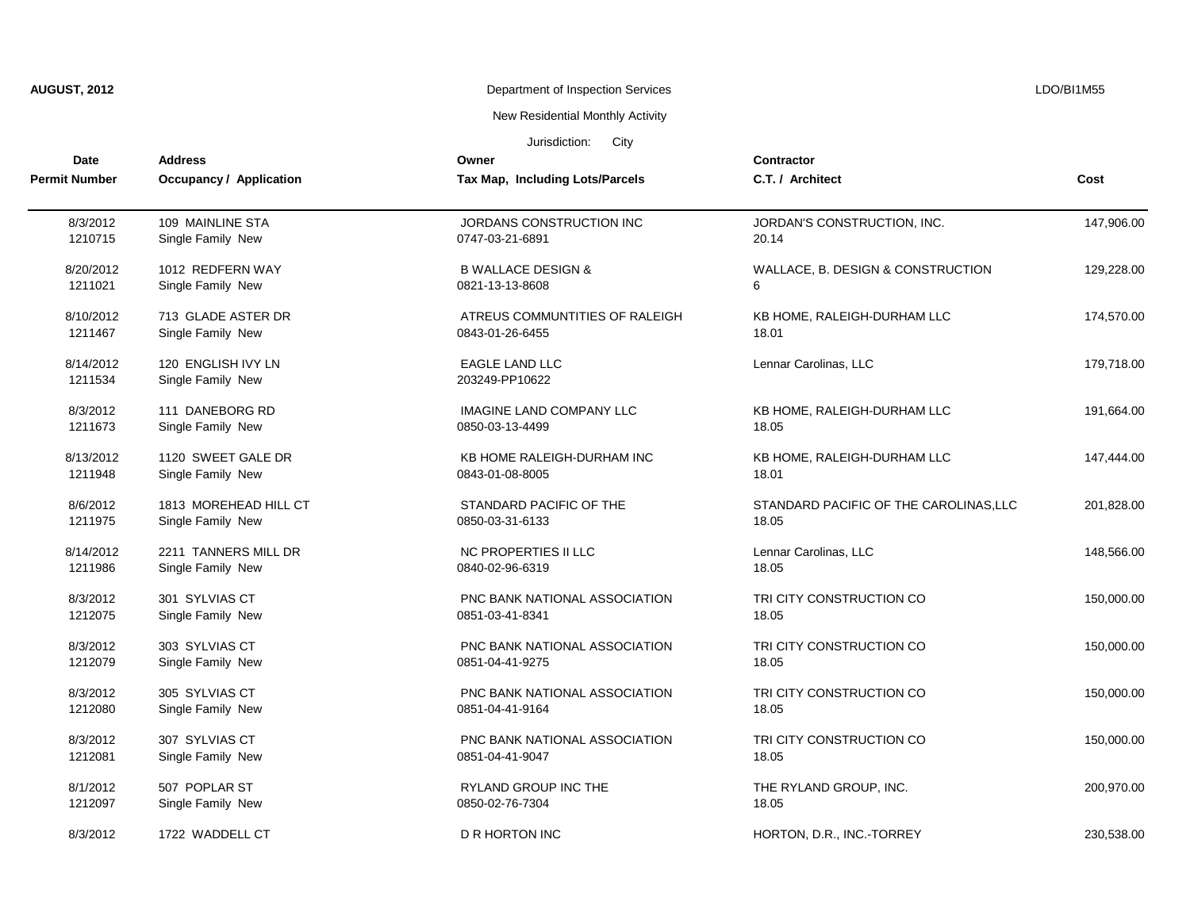| <b>AUGUST, 2012</b> |  |
|---------------------|--|
|---------------------|--|

# **AUGUST, 2012 AUGUST 2012** Department of Inspection Services **LEGUST 2012 LEGUST 2012**

New Residential Monthly Activity

| Date                 | <b>Address</b>                          | Owner                                   | <b>Contractor</b>                      |            |
|----------------------|-----------------------------------------|-----------------------------------------|----------------------------------------|------------|
| <b>Permit Number</b> | Occupancy / Application                 | Tax Map, Including Lots/Parcels         | C.T. / Architect                       | Cost       |
| 8/3/2012             | 109 MAINLINE STA                        | JORDANS CONSTRUCTION INC                | JORDAN'S CONSTRUCTION, INC.            | 147.906.00 |
| 1210715              | Single Family New                       | 0747-03-21-6891                         | 20.14                                  |            |
| 8/20/2012            | 1012 REDFERN WAY                        | <b>B WALLACE DESIGN &amp;</b>           | WALLACE, B. DESIGN & CONSTRUCTION      | 129,228.00 |
| 1211021              | Single Family New                       | 0821-13-13-8608                         | 6                                      |            |
| 8/10/2012            | 713 GLADE ASTER DR                      | ATREUS COMMUNTITIES OF RALEIGH          | KB HOME, RALEIGH-DURHAM LLC            | 174,570.00 |
| 1211467              | Single Family New                       | 0843-01-26-6455                         | 18.01                                  |            |
| 8/14/2012<br>1211534 | 120 ENGLISH IVY LN<br>Single Family New | <b>EAGLE LAND LLC</b><br>203249-PP10622 | Lennar Carolinas, LLC                  | 179,718.00 |
| 8/3/2012             | 111 DANEBORG RD                         | <b>IMAGINE LAND COMPANY LLC</b>         | KB HOME, RALEIGH-DURHAM LLC            | 191,664.00 |
| 1211673              | Single Family New                       | 0850-03-13-4499                         | 18.05                                  |            |
| 8/13/2012            | 1120 SWEET GALE DR                      | KB HOME RALEIGH-DURHAM INC              | KB HOME, RALEIGH-DURHAM LLC            | 147,444.00 |
| 1211948              | Single Family New                       | 0843-01-08-8005                         | 18.01                                  |            |
| 8/6/2012             | 1813 MOREHEAD HILL CT                   | STANDARD PACIFIC OF THE                 | STANDARD PACIFIC OF THE CAROLINAS, LLC | 201,828.00 |
| 1211975              | Single Family New                       | 0850-03-31-6133                         | 18.05                                  |            |
| 8/14/2012            | 2211 TANNERS MILL DR                    | NC PROPERTIES II LLC                    | Lennar Carolinas, LLC                  | 148,566.00 |
| 1211986              | Single Family New                       | 0840-02-96-6319                         | 18.05                                  |            |
| 8/3/2012             | 301 SYLVIAS CT                          | PNC BANK NATIONAL ASSOCIATION           | TRI CITY CONSTRUCTION CO               | 150,000.00 |
| 1212075              | Single Family New                       | 0851-03-41-8341                         | 18.05                                  |            |
| 8/3/2012             | 303 SYLVIAS CT                          | PNC BANK NATIONAL ASSOCIATION           | TRI CITY CONSTRUCTION CO               | 150,000.00 |
| 1212079              | Single Family New                       | 0851-04-41-9275                         | 18.05                                  |            |
| 8/3/2012             | 305 SYLVIAS CT                          | PNC BANK NATIONAL ASSOCIATION           | TRI CITY CONSTRUCTION CO               | 150,000.00 |
| 1212080              | Single Family New                       | 0851-04-41-9164                         | 18.05                                  |            |
| 8/3/2012             | 307 SYLVIAS CT                          | PNC BANK NATIONAL ASSOCIATION           | TRI CITY CONSTRUCTION CO               | 150,000.00 |
| 1212081              | Single Family New                       | 0851-04-41-9047                         | 18.05                                  |            |
| 8/1/2012             | 507 POPLAR ST                           | <b>RYLAND GROUP INC THE</b>             | THE RYLAND GROUP, INC.                 | 200,970.00 |
| 1212097              | Single Family New                       | 0850-02-76-7304                         | 18.05                                  |            |
| 8/3/2012             | 1722 WADDELL CT                         | D R HORTON INC                          | HORTON, D.R., INC.-TORREY              | 230,538.00 |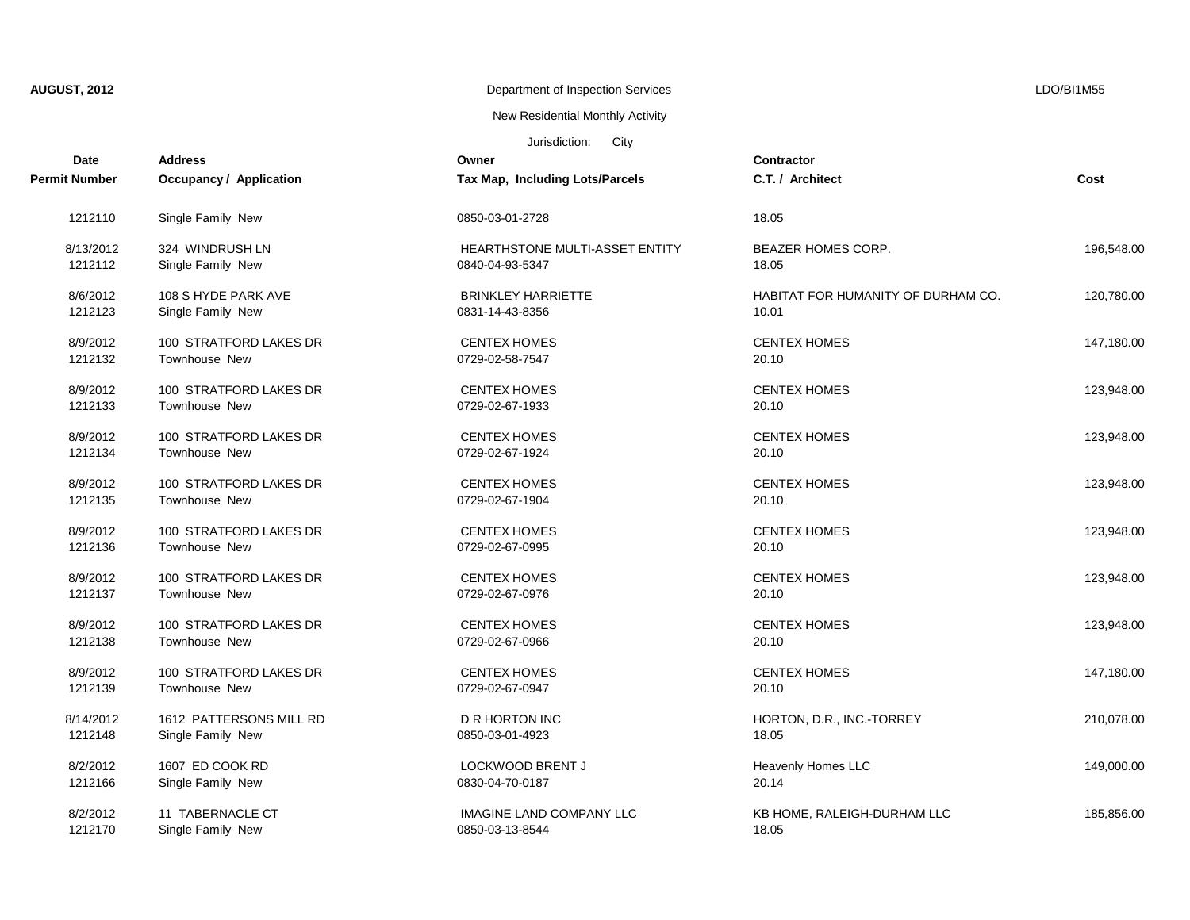New Residential Monthly Activity

| Date          | <b>Address</b>                 | Owner                                 | <b>Contractor</b>                  |            |
|---------------|--------------------------------|---------------------------------------|------------------------------------|------------|
| Permit Number | <b>Occupancy / Application</b> | Tax Map, Including Lots/Parcels       | C.T. / Architect                   | Cost       |
| 1212110       | Single Family New              | 0850-03-01-2728                       | 18.05                              |            |
| 8/13/2012     | 324 WINDRUSH LN                | <b>HEARTHSTONE MULTI-ASSET ENTITY</b> | <b>BEAZER HOMES CORP.</b>          | 196,548.00 |
| 1212112       | Single Family New              | 0840-04-93-5347                       | 18.05                              |            |
| 8/6/2012      | 108 S HYDE PARK AVE            | <b>BRINKLEY HARRIETTE</b>             | HABITAT FOR HUMANITY OF DURHAM CO. | 120,780.00 |
| 1212123       | Single Family New              | 0831-14-43-8356                       | 10.01                              |            |
| 8/9/2012      | 100 STRATFORD LAKES DR         | <b>CENTEX HOMES</b>                   | <b>CENTEX HOMES</b>                | 147,180.00 |
| 1212132       | Townhouse New                  | 0729-02-58-7547                       | 20.10                              |            |
| 8/9/2012      | 100 STRATFORD LAKES DR         | <b>CENTEX HOMES</b>                   | <b>CENTEX HOMES</b>                | 123,948.00 |
| 1212133       | Townhouse New                  | 0729-02-67-1933                       | 20.10                              |            |
| 8/9/2012      | 100 STRATFORD LAKES DR         | <b>CENTEX HOMES</b>                   | <b>CENTEX HOMES</b>                | 123,948.00 |
| 1212134       | Townhouse New                  | 0729-02-67-1924                       | 20.10                              |            |
| 8/9/2012      | 100 STRATFORD LAKES DR         | <b>CENTEX HOMES</b>                   | <b>CENTEX HOMES</b>                | 123,948.00 |
| 1212135       | Townhouse New                  | 0729-02-67-1904                       | 20.10                              |            |
| 8/9/2012      | 100 STRATFORD LAKES DR         | <b>CENTEX HOMES</b>                   | <b>CENTEX HOMES</b>                | 123,948.00 |
| 1212136       | Townhouse New                  | 0729-02-67-0995                       | 20.10                              |            |
| 8/9/2012      | 100 STRATFORD LAKES DR         | <b>CENTEX HOMES</b>                   | <b>CENTEX HOMES</b>                | 123,948.00 |
| 1212137       | Townhouse New                  | 0729-02-67-0976                       | 20.10                              |            |
| 8/9/2012      | 100 STRATFORD LAKES DR         | <b>CENTEX HOMES</b>                   | <b>CENTEX HOMES</b>                | 123,948.00 |
| 1212138       | Townhouse New                  | 0729-02-67-0966                       | 20.10                              |            |
| 8/9/2012      | 100 STRATFORD LAKES DR         | <b>CENTEX HOMES</b>                   | <b>CENTEX HOMES</b>                | 147,180.00 |
| 1212139       | Townhouse New                  | 0729-02-67-0947                       | 20.10                              |            |
| 8/14/2012     | 1612 PATTERSONS MILL RD        | <b>D R HORTON INC</b>                 | HORTON, D.R., INC.-TORREY          | 210,078.00 |
| 1212148       | Single Family New              | 0850-03-01-4923                       | 18.05                              |            |
| 8/2/2012      | 1607 ED COOK RD                | LOCKWOOD BRENT J                      | Heavenly Homes LLC                 | 149,000.00 |
| 1212166       | Single Family New              | 0830-04-70-0187                       | 20.14                              |            |
| 8/2/2012      | 11 TABERNACLE CT               | <b>IMAGINE LAND COMPANY LLC</b>       | KB HOME, RALEIGH-DURHAM LLC        | 185,856.00 |
| 1212170       | Single Family New              | 0850-03-13-8544                       | 18.05                              |            |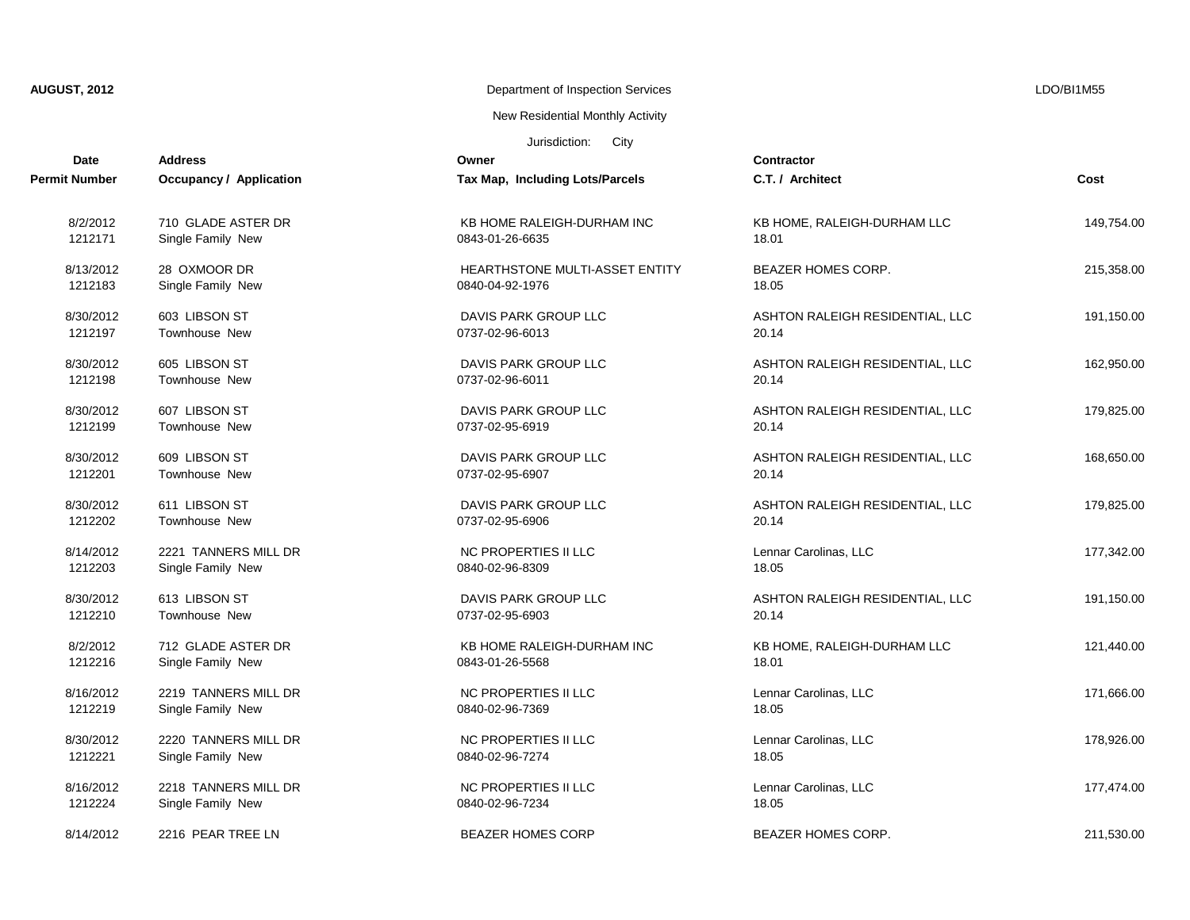New Residential Monthly Activity

| Date          | <b>Address</b>                 | Owner                             | Contractor                      |            |
|---------------|--------------------------------|-----------------------------------|---------------------------------|------------|
| Permit Number | <b>Occupancy / Application</b> | Tax Map, Including Lots/Parcels   | C.T. / Architect                | Cost       |
| 8/2/2012      | 710 GLADE ASTER DR             | KB HOME RALEIGH-DURHAM INC        | KB HOME, RALEIGH-DURHAM LLC     | 149,754.00 |
| 1212171       | Single Family New              | 0843-01-26-6635                   | 18.01                           |            |
| 8/13/2012     | 28 OXMOOR DR                   | HEARTHSTONE MULTI-ASSET ENTITY    | BEAZER HOMES CORP.              | 215,358.00 |
| 1212183       | Single Family New              | 0840-04-92-1976                   | 18.05                           |            |
| 8/30/2012     | 603 LIBSON ST                  | DAVIS PARK GROUP LLC              | ASHTON RALEIGH RESIDENTIAL, LLC | 191,150.00 |
| 1212197       | <b>Townhouse New</b>           | 0737-02-96-6013                   | 20.14                           |            |
| 8/30/2012     | 605 LIBSON ST                  | DAVIS PARK GROUP LLC              | ASHTON RALEIGH RESIDENTIAL, LLC | 162,950.00 |
| 1212198       | <b>Townhouse New</b>           | 0737-02-96-6011                   | 20.14                           |            |
| 8/30/2012     | 607 LIBSON ST                  | DAVIS PARK GROUP LLC              | ASHTON RALEIGH RESIDENTIAL, LLC | 179,825.00 |
| 1212199       | <b>Townhouse New</b>           | 0737-02-95-6919                   | 20.14                           |            |
| 8/30/2012     | 609 LIBSON ST                  | DAVIS PARK GROUP LLC              | ASHTON RALEIGH RESIDENTIAL, LLC | 168,650.00 |
| 1212201       | <b>Townhouse New</b>           | 0737-02-95-6907                   | 20.14                           |            |
| 8/30/2012     | 611 LIBSON ST                  | DAVIS PARK GROUP LLC              | ASHTON RALEIGH RESIDENTIAL, LLC | 179,825.00 |
| 1212202       | Townhouse New                  | 0737-02-95-6906                   | 20.14                           |            |
| 8/14/2012     | 2221 TANNERS MILL DR           | NC PROPERTIES II LLC              | Lennar Carolinas, LLC           | 177,342.00 |
| 1212203       | Single Family New              | 0840-02-96-8309                   | 18.05                           |            |
| 8/30/2012     | 613 LIBSON ST                  | DAVIS PARK GROUP LLC              | ASHTON RALEIGH RESIDENTIAL, LLC | 191,150.00 |
| 1212210       | Townhouse New                  | 0737-02-95-6903                   | 20.14                           |            |
| 8/2/2012      | 712 GLADE ASTER DR             | <b>KB HOME RALEIGH-DURHAM INC</b> | KB HOME, RALEIGH-DURHAM LLC     | 121,440.00 |
| 1212216       | Single Family New              | 0843-01-26-5568                   | 18.01                           |            |
| 8/16/2012     | 2219 TANNERS MILL DR           | <b>NC PROPERTIES II LLC</b>       | Lennar Carolinas, LLC           | 171,666.00 |
| 1212219       | Single Family New              | 0840-02-96-7369                   | 18.05                           |            |
| 8/30/2012     | 2220 TANNERS MILL DR           | NC PROPERTIES II LLC              | Lennar Carolinas, LLC           | 178,926.00 |
| 1212221       | Single Family New              | 0840-02-96-7274                   | 18.05                           |            |
| 8/16/2012     | 2218 TANNERS MILL DR           | NC PROPERTIES II LLC              | Lennar Carolinas, LLC           | 177,474.00 |
| 1212224       | Single Family New              | 0840-02-96-7234                   | 18.05                           |            |
| 8/14/2012     | 2216 PEAR TREE LN              | <b>BEAZER HOMES CORP</b>          | <b>BEAZER HOMES CORP.</b>       | 211.530.00 |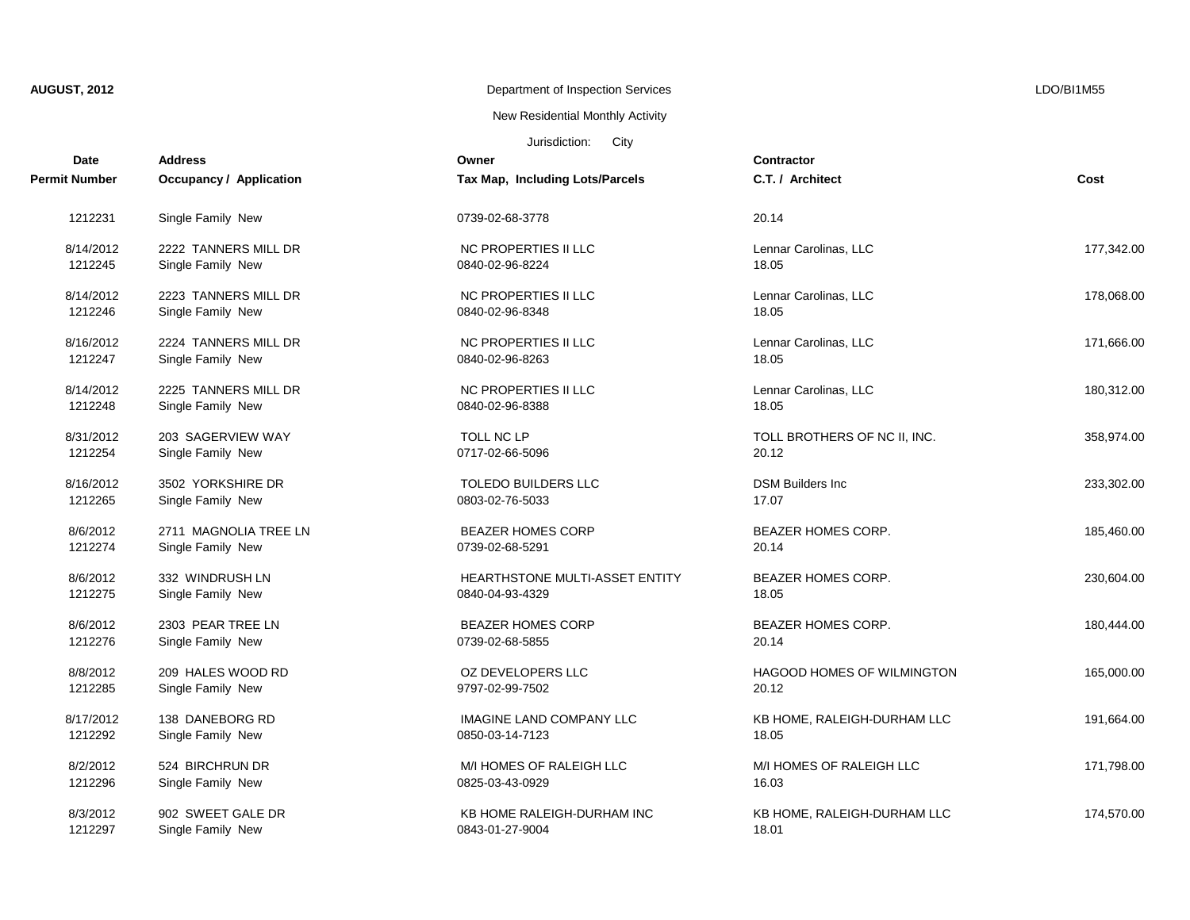New Residential Monthly Activity

| <b>Date</b>   | <b>Address</b>                 | Owner                                 | <b>Contractor</b>                 |            |
|---------------|--------------------------------|---------------------------------------|-----------------------------------|------------|
| Permit Number | <b>Occupancy / Application</b> | Tax Map, Including Lots/Parcels       | C.T. / Architect                  | Cost       |
| 1212231       | Single Family New              | 0739-02-68-3778                       | 20.14                             |            |
| 8/14/2012     | 2222 TANNERS MILL DR           | NC PROPERTIES II LLC                  | Lennar Carolinas, LLC             | 177,342.00 |
| 1212245       | Single Family New              | 0840-02-96-8224                       | 18.05                             |            |
| 8/14/2012     | 2223 TANNERS MILL DR           | NC PROPERTIES II LLC                  | Lennar Carolinas, LLC             | 178.068.00 |
| 1212246       | Single Family New              | 0840-02-96-8348                       | 18.05                             |            |
| 8/16/2012     | 2224 TANNERS MILL DR           | NC PROPERTIES II LLC                  | Lennar Carolinas, LLC             | 171,666.00 |
| 1212247       | Single Family New              | 0840-02-96-8263                       | 18.05                             |            |
| 8/14/2012     | 2225 TANNERS MILL DR           | NC PROPERTIES II LLC                  | Lennar Carolinas, LLC             | 180,312.00 |
| 1212248       | Single Family New              | 0840-02-96-8388                       | 18.05                             |            |
| 8/31/2012     | 203 SAGERVIEW WAY              | TOLL NC LP                            | TOLL BROTHERS OF NC II, INC.      | 358,974.00 |
| 1212254       | Single Family New              | 0717-02-66-5096                       | 20.12                             |            |
| 8/16/2012     | 3502 YORKSHIRE DR              | TOLEDO BUILDERS LLC                   | <b>DSM Builders Inc.</b>          | 233,302.00 |
| 1212265       | Single Family New              | 0803-02-76-5033                       | 17.07                             |            |
| 8/6/2012      | 2711 MAGNOLIA TREE LN          | <b>BEAZER HOMES CORP</b>              | <b>BEAZER HOMES CORP.</b>         | 185,460.00 |
| 1212274       | Single Family New              | 0739-02-68-5291                       | 20.14                             |            |
| 8/6/2012      | 332 WINDRUSH LN                | <b>HEARTHSTONE MULTI-ASSET ENTITY</b> | <b>BEAZER HOMES CORP.</b>         | 230,604.00 |
| 1212275       | Single Family New              | 0840-04-93-4329                       | 18.05                             |            |
| 8/6/2012      | 2303 PEAR TREE LN              | <b>BEAZER HOMES CORP</b>              | <b>BEAZER HOMES CORP.</b>         | 180,444.00 |
| 1212276       | Single Family New              | 0739-02-68-5855                       | 20.14                             |            |
| 8/8/2012      | 209 HALES WOOD RD              | OZ DEVELOPERS LLC                     | <b>HAGOOD HOMES OF WILMINGTON</b> | 165,000.00 |
| 1212285       | Single Family New              | 9797-02-99-7502                       | 20.12                             |            |
| 8/17/2012     | 138 DANEBORG RD                | IMAGINE LAND COMPANY LLC              | KB HOME, RALEIGH-DURHAM LLC       | 191,664.00 |
| 1212292       | Single Family New              | 0850-03-14-7123                       | 18.05                             |            |
| 8/2/2012      | 524 BIRCHRUN DR                | M/I HOMES OF RALEIGH LLC              | M/I HOMES OF RALEIGH LLC          | 171,798.00 |
| 1212296       | Single Family New              | 0825-03-43-0929                       | 16.03                             |            |
| 8/3/2012      | 902 SWEET GALE DR              | KB HOME RALEIGH-DURHAM INC            | KB HOME, RALEIGH-DURHAM LLC       | 174,570.00 |
| 1212297       | Single Family New              | 0843-01-27-9004                       | 18.01                             |            |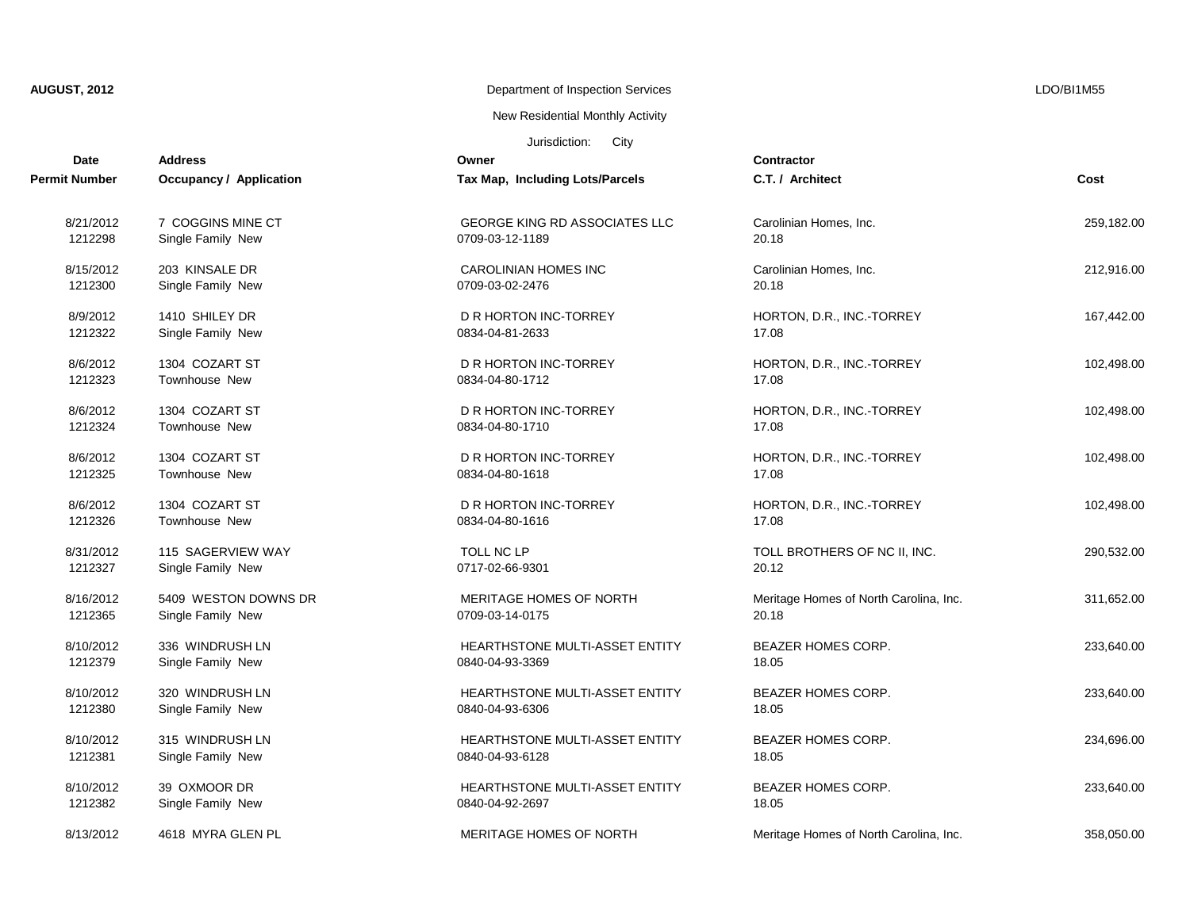## New Residential Monthly Activity

| Date          | <b>Address</b>                 | Owner                                 | <b>Contractor</b>                      |            |
|---------------|--------------------------------|---------------------------------------|----------------------------------------|------------|
| Permit Number | <b>Occupancy / Application</b> | Tax Map, Including Lots/Parcels       | C.T. / Architect                       | Cost       |
| 8/21/2012     | 7 COGGINS MINE CT              | GEORGE KING RD ASSOCIATES LLC         | Carolinian Homes, Inc.                 | 259,182.00 |
| 1212298       | Single Family New              | 0709-03-12-1189                       | 20.18                                  |            |
| 8/15/2012     | 203 KINSALE DR                 | CAROLINIAN HOMES INC                  | Carolinian Homes, Inc.                 | 212,916.00 |
| 1212300       | Single Family New              | 0709-03-02-2476                       | 20.18                                  |            |
| 8/9/2012      | 1410 SHILEY DR                 | D R HORTON INC-TORREY                 | HORTON, D.R., INC.-TORREY              | 167,442.00 |
| 1212322       | Single Family New              | 0834-04-81-2633                       | 17.08                                  |            |
| 8/6/2012      | 1304 COZART ST                 | D R HORTON INC TORREY                 | HORTON, D.R., INC.-TORREY              | 102,498.00 |
| 1212323       | Townhouse New                  | 0834-04-80-1712                       | 17.08                                  |            |
| 8/6/2012      | 1304 COZART ST                 | D R HORTON INC-TORREY                 | HORTON, D.R., INC.-TORREY              | 102,498.00 |
| 1212324       | Townhouse New                  | 0834-04-80-1710                       | 17.08                                  |            |
| 8/6/2012      | 1304 COZART ST                 | D R HORTON INC-TORREY                 | HORTON, D.R., INC.-TORREY              | 102,498.00 |
| 1212325       | Townhouse New                  | 0834-04-80-1618                       | 17.08                                  |            |
| 8/6/2012      | 1304 COZART ST                 | D R HORTON INC-TORREY                 | HORTON, D.R., INC.-TORREY              | 102,498.00 |
| 1212326       | <b>Townhouse New</b>           | 0834-04-80-1616                       | 17.08                                  |            |
| 8/31/2012     | 115 SAGERVIEW WAY              | TOLL NC LP                            | TOLL BROTHERS OF NC II, INC.           | 290,532.00 |
| 1212327       | Single Family New              | 0717-02-66-9301                       | 20.12                                  |            |
| 8/16/2012     | 5409 WESTON DOWNS DR           | MERITAGE HOMES OF NORTH               | Meritage Homes of North Carolina, Inc. | 311,652.00 |
| 1212365       | Single Family New              | 0709-03-14-0175                       | 20.18                                  |            |
| 8/10/2012     | 336 WINDRUSH LN                | HEARTHSTONE MULTI-ASSET ENTITY        | BEAZER HOMES CORP.                     | 233,640.00 |
| 1212379       | Single Family New              | 0840-04-93-3369                       | 18.05                                  |            |
| 8/10/2012     | 320 WINDRUSH LN                | <b>HEARTHSTONE MULTI-ASSET ENTITY</b> | <b>BEAZER HOMES CORP.</b>              | 233,640.00 |
| 1212380       | Single Family New              | 0840-04-93-6306                       | 18.05                                  |            |
| 8/10/2012     | 315 WINDRUSH LN                | HEARTHSTONE MULTI-ASSET ENTITY        | BEAZER HOMES CORP.                     | 234,696.00 |
| 1212381       | Single Family New              | 0840-04-93-6128                       | 18.05                                  |            |
| 8/10/2012     | 39 OXMOOR DR                   | HEARTHSTONE MULTI-ASSET ENTITY        | BEAZER HOMES CORP.                     | 233,640.00 |
| 1212382       | Single Family New              | 0840-04-92-2697                       | 18.05                                  |            |
| 8/13/2012     | 4618 MYRA GLEN PL              | MERITAGE HOMES OF NORTH               | Meritage Homes of North Carolina, Inc. | 358,050.00 |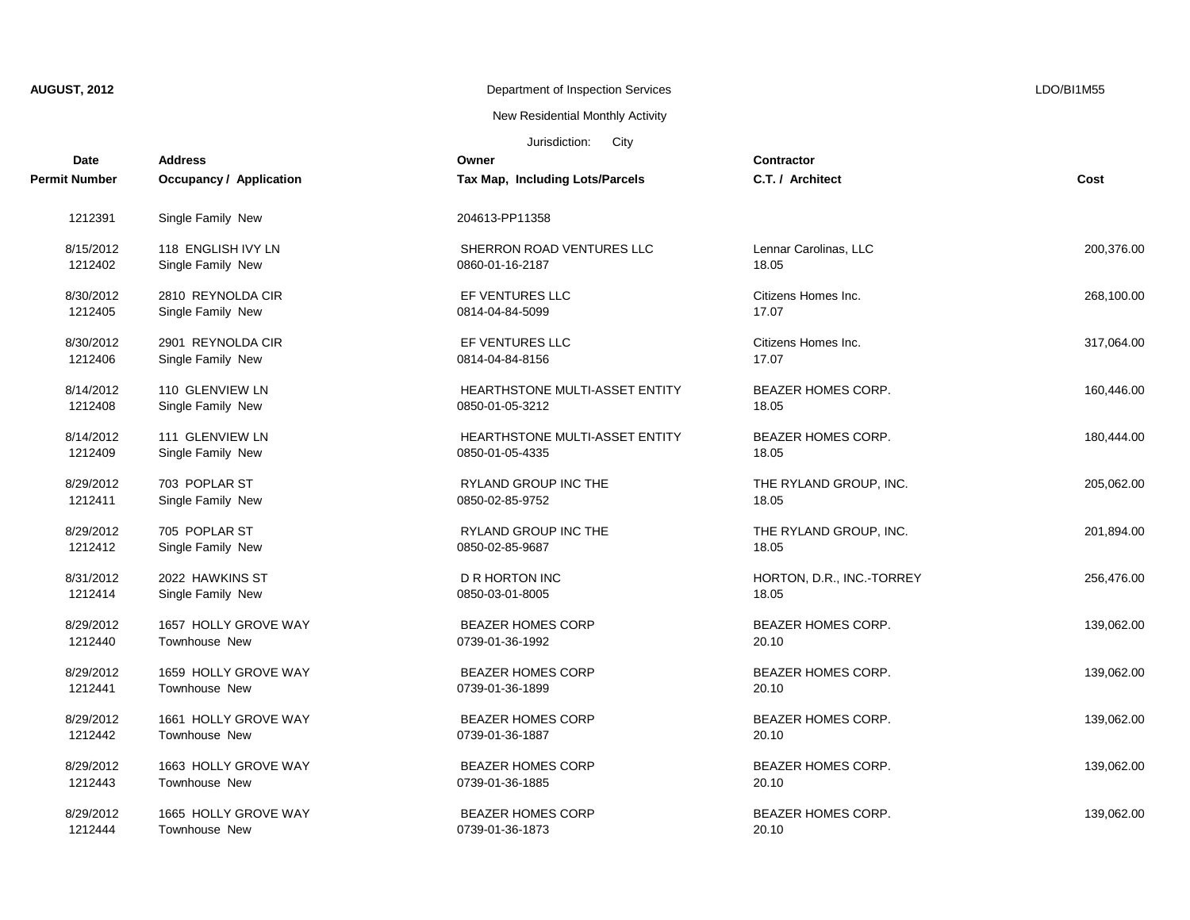| <b>AUGUST, 2012</b> |  |  |  |  |  |
|---------------------|--|--|--|--|--|
|---------------------|--|--|--|--|--|

New Residential Monthly Activity

| Date                 | <b>Address</b>                 | Owner                           | Contractor                |            |
|----------------------|--------------------------------|---------------------------------|---------------------------|------------|
| <b>Permit Number</b> | <b>Occupancy / Application</b> | Tax Map, Including Lots/Parcels | C.T. / Architect          | Cost       |
| 1212391              | Single Family New              | 204613-PP11358                  |                           |            |
| 8/15/2012            | 118 ENGLISH IVY LN             | SHERRON ROAD VENTURES LLC       | Lennar Carolinas, LLC     | 200,376.00 |
| 1212402              | Single Family New              | 0860-01-16-2187                 | 18.05                     |            |
| 8/30/2012            | 2810 REYNOLDA CIR              | EF VENTURES LLC                 | Citizens Homes Inc.       | 268,100.00 |
| 1212405              | Single Family New              | 0814-04-84-5099                 | 17.07                     |            |
| 8/30/2012            | 2901 REYNOLDA CIR              | EF VENTURES LLC                 | Citizens Homes Inc.       | 317,064.00 |
| 1212406              | Single Family New              | 0814-04-84-8156                 | 17.07                     |            |
| 8/14/2012            | 110 GLENVIEW LN                | HEARTHSTONE MULTI-ASSET ENTITY  | <b>BEAZER HOMES CORP.</b> | 160,446.00 |
| 1212408              | Single Family New              | 0850-01-05-3212                 | 18.05                     |            |
| 8/14/2012            | 111 GLENVIEW LN                | HEARTHSTONE MULTI-ASSET ENTITY  | BEAZER HOMES CORP.        | 180,444.00 |
| 1212409              | Single Family New              | 0850-01-05-4335                 | 18.05                     |            |
| 8/29/2012            | 703 POPLAR ST                  | <b>RYLAND GROUP INC THE</b>     | THE RYLAND GROUP, INC.    | 205,062.00 |
| 1212411              | Single Family New              | 0850-02-85-9752                 | 18.05                     |            |
| 8/29/2012            | 705 POPLAR ST                  | <b>RYLAND GROUP INC THE</b>     | THE RYLAND GROUP, INC.    | 201,894.00 |
| 1212412              | Single Family New              | 0850-02-85-9687                 | 18.05                     |            |
| 8/31/2012            | 2022 HAWKINS ST                | D R HORTON INC                  | HORTON, D.R., INC.-TORREY | 256,476.00 |
| 1212414              | Single Family New              | 0850-03-01-8005                 | 18.05                     |            |
| 8/29/2012            | 1657 HOLLY GROVE WAY           | <b>BEAZER HOMES CORP</b>        | <b>BEAZER HOMES CORP.</b> | 139,062.00 |
| 1212440              | Townhouse New                  | 0739-01-36-1992                 | 20.10                     |            |
| 8/29/2012            | 1659 HOLLY GROVE WAY           | <b>BEAZER HOMES CORP</b>        | <b>BEAZER HOMES CORP.</b> | 139,062.00 |
| 1212441              | Townhouse New                  | 0739-01-36-1899                 | 20.10                     |            |
| 8/29/2012            | 1661 HOLLY GROVE WAY           | <b>BEAZER HOMES CORP</b>        | <b>BEAZER HOMES CORP.</b> | 139,062.00 |
| 1212442              | Townhouse New                  | 0739-01-36-1887                 | 20.10                     |            |
| 8/29/2012            | 1663 HOLLY GROVE WAY           | <b>BEAZER HOMES CORP</b>        | <b>BEAZER HOMES CORP.</b> | 139,062.00 |
| 1212443              | Townhouse New                  | 0739-01-36-1885                 | 20.10                     |            |
| 8/29/2012            | 1665 HOLLY GROVE WAY           | <b>BEAZER HOMES CORP</b>        | BEAZER HOMES CORP.        | 139,062.00 |
| 1212444              | Townhouse New                  | 0739-01-36-1873                 | 20.10                     |            |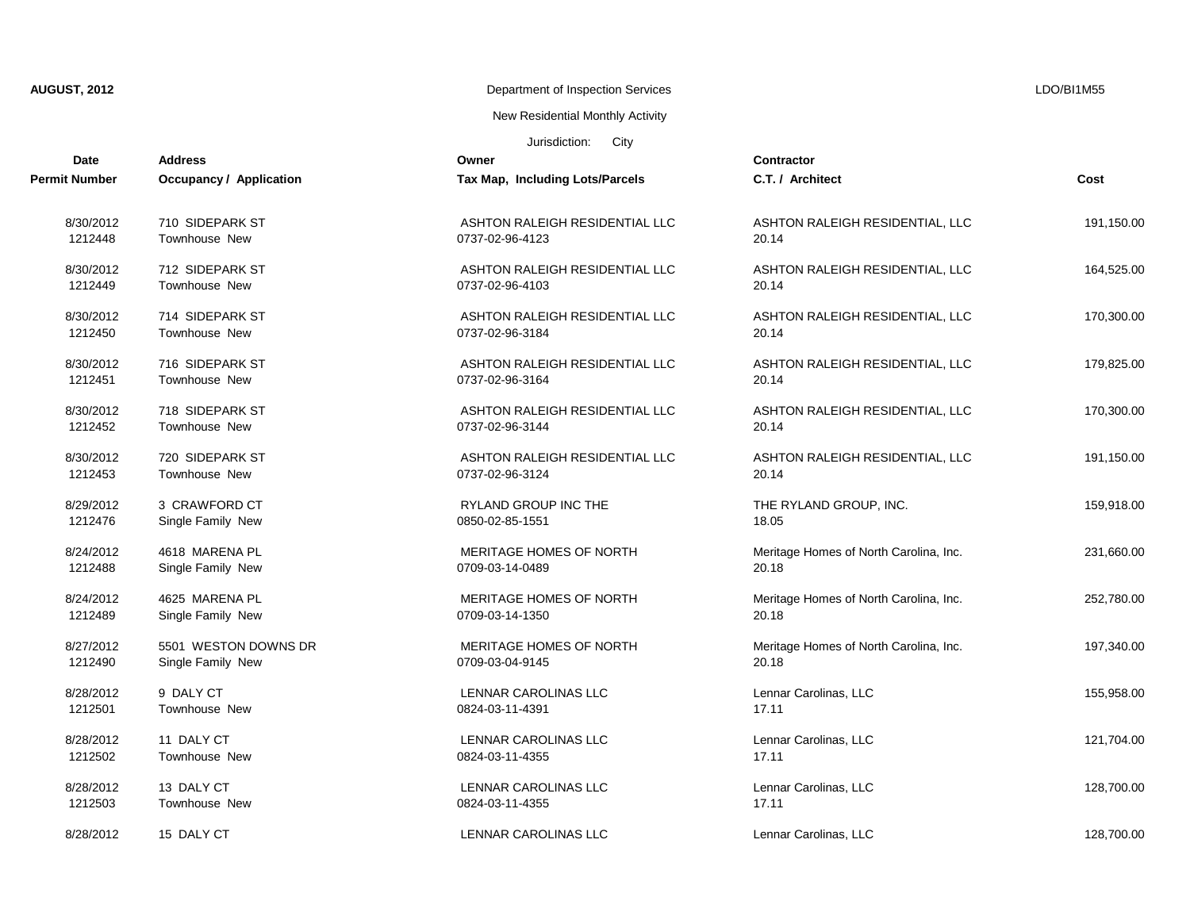## New Residential Monthly Activity

| <b>Address</b>                 | Owner                           | <b>Contractor</b>                      |            |
|--------------------------------|---------------------------------|----------------------------------------|------------|
| <b>Occupancy / Application</b> | Tax Map, Including Lots/Parcels | C.T. / Architect                       | Cost       |
| 710 SIDEPARK ST                | ASHTON RALEIGH RESIDENTIAL LLC  | ASHTON RALEIGH RESIDENTIAL, LLC        | 191,150.00 |
| Townhouse New                  | 0737-02-96-4123                 | 20.14                                  |            |
| 712 SIDEPARK ST                | ASHTON RALEIGH RESIDENTIAL LLC  | ASHTON RALEIGH RESIDENTIAL, LLC        | 164,525.00 |
|                                | 0737-02-96-4103                 |                                        |            |
| 714 SIDEPARK ST                | ASHTON RALEIGH RESIDENTIAL LLC  | ASHTON RALEIGH RESIDENTIAL, LLC        | 170,300.00 |
| Townhouse New                  | 0737-02-96-3184                 | 20.14                                  |            |
| 716 SIDEPARK ST                | ASHTON RALEIGH RESIDENTIAL LLC  | ASHTON RALEIGH RESIDENTIAL, LLC        | 179,825.00 |
| <b>Townhouse New</b>           | 0737-02-96-3164                 | 20.14                                  |            |
| 718 SIDEPARK ST                | ASHTON RALEIGH RESIDENTIAL LLC  | ASHTON RALEIGH RESIDENTIAL, LLC        | 170,300.00 |
| Townhouse New                  | 0737-02-96-3144                 | 20.14                                  |            |
| 720 SIDEPARK ST                | ASHTON RALEIGH RESIDENTIAL LLC  | ASHTON RALEIGH RESIDENTIAL, LLC        | 191,150.00 |
| Townhouse New                  | 0737-02-96-3124                 | 20.14                                  |            |
| 3 CRAWFORD CT                  | RYLAND GROUP INC THE            | THE RYLAND GROUP, INC.                 | 159,918.00 |
| Single Family New              | 0850-02-85-1551                 | 18.05                                  |            |
| 4618 MARENA PL                 | MERITAGE HOMES OF NORTH         | Meritage Homes of North Carolina, Inc. | 231,660.00 |
| Single Family New              | 0709-03-14-0489                 | 20.18                                  |            |
| 4625 MARENA PL                 | MERITAGE HOMES OF NORTH         | Meritage Homes of North Carolina, Inc. | 252,780.00 |
| Single Family New              | 0709-03-14-1350                 | 20.18                                  |            |
| 5501 WESTON DOWNS DR           | MERITAGE HOMES OF NORTH         | Meritage Homes of North Carolina, Inc. | 197,340.00 |
| Single Family New              | 0709-03-04-9145                 | 20.18                                  |            |
| 9 DALY CT                      | LENNAR CAROLINAS LLC            | Lennar Carolinas, LLC                  | 155,958.00 |
| <b>Townhouse New</b>           | 0824-03-11-4391                 | 17.11                                  |            |
| 11 DALY CT                     | LENNAR CAROLINAS LLC            | Lennar Carolinas, LLC                  | 121,704.00 |
| Townhouse New                  | 0824-03-11-4355                 | 17.11                                  |            |
| 13 DALY CT                     | LENNAR CAROLINAS LLC            | Lennar Carolinas, LLC                  | 128,700.00 |
| Townhouse New                  | 0824-03-11-4355                 | 17.11                                  |            |
| 15 DALY CT                     | LENNAR CAROLINAS LLC            | Lennar Carolinas, LLC                  | 128.700.00 |
|                                | Townhouse New                   |                                        | 20.14      |